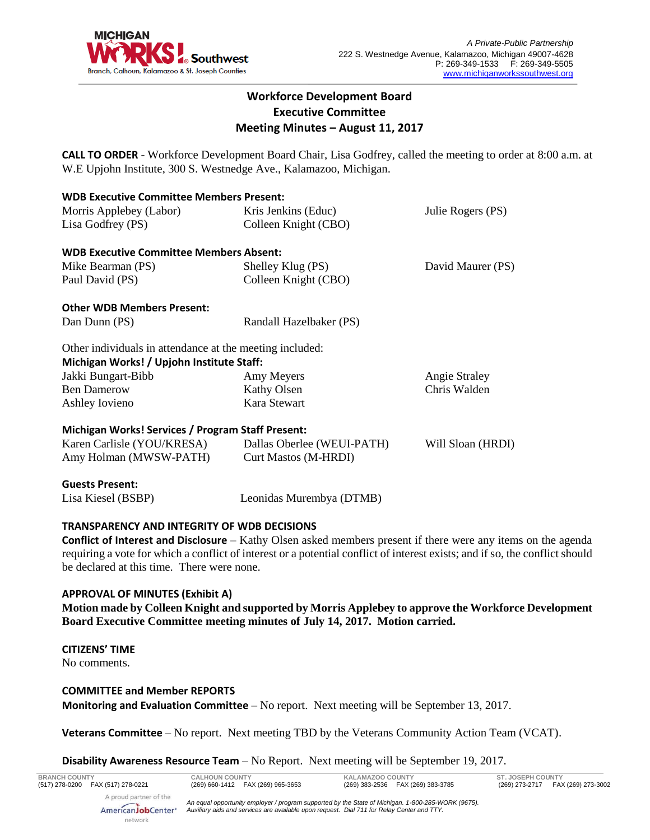

# **Workforce Development Board Executive Committee Meeting Minutes – August 11, 2017**

**CALL TO ORDER** - Workforce Development Board Chair, Lisa Godfrey, called the meeting to order at 8:00 a.m. at W.E Upjohn Institute, 300 S. Westnedge Ave., Kalamazoo, Michigan.

| <b>WDB Executive Committee Members Present:</b>          |                                                 |                   |  |  |
|----------------------------------------------------------|-------------------------------------------------|-------------------|--|--|
| Morris Applebey (Labor)                                  | Kris Jenkins (Educ)                             | Julie Rogers (PS) |  |  |
| Lisa Godfrey (PS)                                        | Colleen Knight (CBO)                            |                   |  |  |
| <b>WDB Executive Committee Members Absent:</b>           |                                                 |                   |  |  |
| Mike Bearman (PS)                                        | Shelley Klug (PS)<br>David Maurer (PS)          |                   |  |  |
| Paul David (PS)                                          | Colleen Knight (CBO)                            |                   |  |  |
| <b>Other WDB Members Present:</b>                        |                                                 |                   |  |  |
| Dan Dunn (PS)                                            | Randall Hazelbaker (PS)                         |                   |  |  |
| Other individuals in attendance at the meeting included: |                                                 |                   |  |  |
| Michigan Works! / Upjohn Institute Staff:                |                                                 |                   |  |  |
| Jakki Bungart-Bibb                                       | Angie Straley<br>Amy Meyers                     |                   |  |  |
| <b>Ben Damerow</b>                                       | Kathy Olsen<br>Chris Walden                     |                   |  |  |
| Ashley Iovieno                                           | Kara Stewart                                    |                   |  |  |
| <b>Michigan Works! Services / Program Staff Present:</b> |                                                 |                   |  |  |
| Karen Carlisle (YOU/KRESA)                               | Dallas Oberlee (WEUI-PATH)<br>Will Sloan (HRDI) |                   |  |  |
| Amy Holman (MWSW-PATH)                                   | <b>Curt Mastos (M-HRDI)</b>                     |                   |  |  |
| <b>Guests Present:</b>                                   |                                                 |                   |  |  |
| Lisa Kiesel (BSBP)                                       | Leonidas Murembya (DTMB)                        |                   |  |  |

# **TRANSPARENCY AND INTEGRITY OF WDB DECISIONS**

**Conflict of Interest and Disclosure** – Kathy Olsen asked members present if there were any items on the agenda requiring a vote for which a conflict of interest or a potential conflict of interest exists; and if so, the conflict should be declared at this time. There were none.

# **APPROVAL OF MINUTES (Exhibit A)**

**Motion made by Colleen Knight and supported by Morris Applebey to approve the Workforce Development Board Executive Committee meeting minutes of July 14, 2017. Motion carried.** 

### **CITIZENS' TIME**

No comments.

### **COMMITTEE and Member REPORTS**

**Monitoring and Evaluation Committee** – No report. Next meeting will be September 13, 2017.

**Veterans Committee** – No report. Next meeting TBD by the Veterans Community Action Team (VCAT).

### **Disability Awareness Resource Team** – No Report. Next meeting will be September 19, 2017.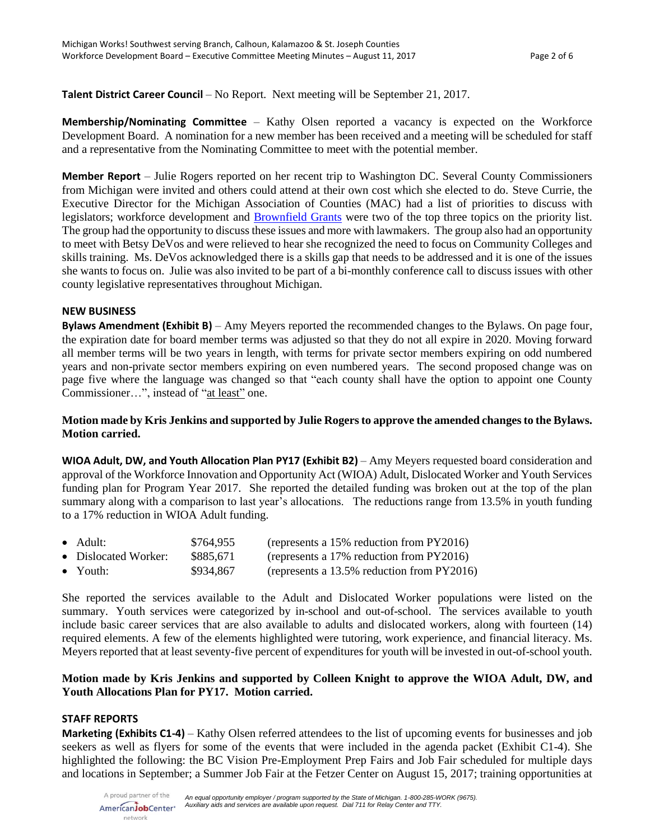**Talent District Career Council** – No Report. Next meeting will be September 21, 2017.

**Membership/Nominating Committee** – Kathy Olsen reported a vacancy is expected on the Workforce Development Board. A nomination for a new member has been received and a meeting will be scheduled for staff and a representative from the Nominating Committee to meet with the potential member.

**Member Report** – Julie Rogers reported on her recent trip to Washington DC. Several County Commissioners from Michigan were invited and others could attend at their own cost which she elected to do. Steve Currie, the Executive Director for the Michigan Association of Counties (MAC) had a list of priorities to discuss with legislators; workforce development and [Brownfield Grants](https://www.epa.gov/brownfields/overview-brownfields-program) were two of the top three topics on the priority list. The group had the opportunity to discuss these issues and more with lawmakers. The group also had an opportunity to meet with Betsy DeVos and were relieved to hear she recognized the need to focus on Community Colleges and skills training. Ms. DeVos acknowledged there is a skills gap that needs to be addressed and it is one of the issues she wants to focus on. Julie was also invited to be part of a bi-monthly conference call to discuss issues with other county legislative representatives throughout Michigan.

### **NEW BUSINESS**

**Bylaws Amendment (Exhibit B)** – Amy Meyers reported the recommended changes to the Bylaws. On page four, the expiration date for board member terms was adjusted so that they do not all expire in 2020. Moving forward all member terms will be two years in length, with terms for private sector members expiring on odd numbered years and non-private sector members expiring on even numbered years. The second proposed change was on page five where the language was changed so that "each county shall have the option to appoint one County Commissioner...", instead of "at least" one.

# **Motion made by Kris Jenkins and supported by Julie Rogers to approve the amended changes to the Bylaws. Motion carried.**

**WIOA Adult, DW, and Youth Allocation Plan PY17 (Exhibit B2)** – Amy Meyers requested board consideration and approval of the Workforce Innovation and Opportunity Act (WIOA) Adult, Dislocated Worker and Youth Services funding plan for Program Year 2017. She reported the detailed funding was broken out at the top of the plan summary along with a comparison to last year's allocations. The reductions range from 13.5% in youth funding to a 17% reduction in WIOA Adult funding.

| $\bullet$ Adult:     | \$764,955 | (represents a 15% reduction from PY2016)   |
|----------------------|-----------|--------------------------------------------|
| • Dislocated Worker: | \$885,671 | (represents a 17% reduction from PY2016)   |
| $\bullet$ Youth:     | \$934,867 | (represents a 13.5% reduction from PY2016) |

She reported the services available to the Adult and Dislocated Worker populations were listed on the summary. Youth services were categorized by in-school and out-of-school. The services available to youth include basic career services that are also available to adults and dislocated workers, along with fourteen (14) required elements. A few of the elements highlighted were tutoring, work experience, and financial literacy. Ms. Meyers reported that at least seventy-five percent of expenditures for youth will be invested in out-of-school youth.

# **Motion made by Kris Jenkins and supported by Colleen Knight to approve the WIOA Adult, DW, and Youth Allocations Plan for PY17. Motion carried.**

# **STAFF REPORTS**

**Marketing (Exhibits C1-4)** – Kathy Olsen referred attendees to the list of upcoming events for businesses and job seekers as well as flyers for some of the events that were included in the agenda packet (Exhibit C1-4). She highlighted the following: the BC Vision Pre-Employment Prep Fairs and Job Fair scheduled for multiple days and locations in September; a Summer Job Fair at the Fetzer Center on August 15, 2017; training opportunities at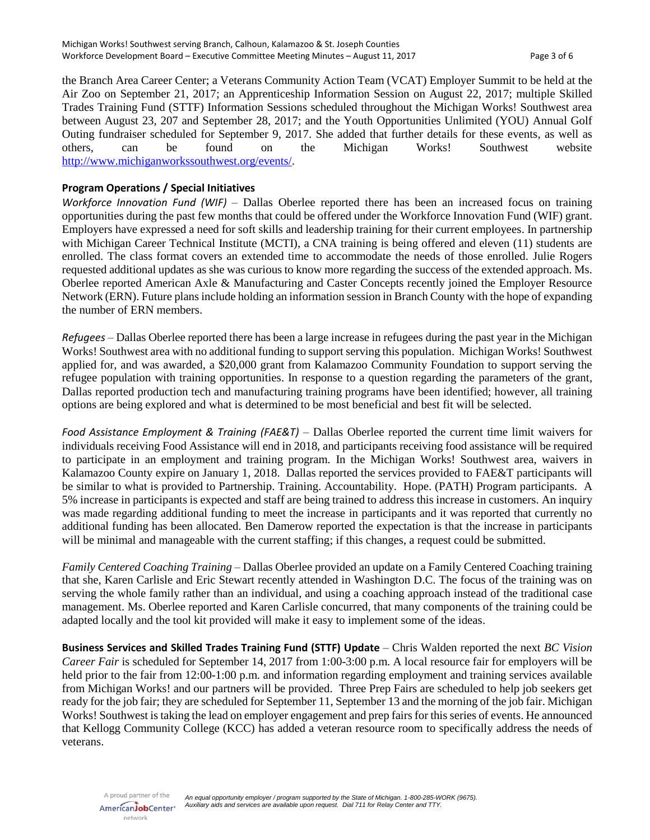the Branch Area Career Center; a Veterans Community Action Team (VCAT) Employer Summit to be held at the Air Zoo on September 21, 2017; an Apprenticeship Information Session on August 22, 2017; multiple Skilled Trades Training Fund (STTF) Information Sessions scheduled throughout the Michigan Works! Southwest area between August 23, 207 and September 28, 2017; and the Youth Opportunities Unlimited (YOU) Annual Golf Outing fundraiser scheduled for September 9, 2017. She added that further details for these events, as well as others, can be found on the Michigan Works! Southwest website [http://www.michiganworkssouthwest.org/events/.](http://www.michiganworkssouthwest.org/events/)

# **Program Operations / Special Initiatives**

*Workforce Innovation Fund (WIF)* – Dallas Oberlee reported there has been an increased focus on training opportunities during the past few months that could be offered under the Workforce Innovation Fund (WIF) grant. Employers have expressed a need for soft skills and leadership training for their current employees. In partnership with Michigan Career Technical Institute (MCTI), a CNA training is being offered and eleven (11) students are enrolled. The class format covers an extended time to accommodate the needs of those enrolled. Julie Rogers requested additional updates as she was curious to know more regarding the success of the extended approach. Ms. Oberlee reported American Axle & Manufacturing and Caster Concepts recently joined the Employer Resource Network (ERN). Future plans include holding an information session in Branch County with the hope of expanding the number of ERN members.

*Refugees* – Dallas Oberlee reported there has been a large increase in refugees during the past year in the Michigan Works! Southwest area with no additional funding to support serving this population. Michigan Works! Southwest applied for, and was awarded, a \$20,000 grant from Kalamazoo Community Foundation to support serving the refugee population with training opportunities. In response to a question regarding the parameters of the grant, Dallas reported production tech and manufacturing training programs have been identified; however, all training options are being explored and what is determined to be most beneficial and best fit will be selected.

*Food Assistance Employment & Training (FAE&T)* – Dallas Oberlee reported the current time limit waivers for individuals receiving Food Assistance will end in 2018, and participants receiving food assistance will be required to participate in an employment and training program. In the Michigan Works! Southwest area, waivers in Kalamazoo County expire on January 1, 2018. Dallas reported the services provided to FAE&T participants will be similar to what is provided to Partnership. Training. Accountability. Hope. (PATH) Program participants. A 5% increase in participants is expected and staff are being trained to address this increase in customers. An inquiry was made regarding additional funding to meet the increase in participants and it was reported that currently no additional funding has been allocated. Ben Damerow reported the expectation is that the increase in participants will be minimal and manageable with the current staffing; if this changes, a request could be submitted.

*Family Centered Coaching Training* – Dallas Oberlee provided an update on a Family Centered Coaching training that she, Karen Carlisle and Eric Stewart recently attended in Washington D.C. The focus of the training was on serving the whole family rather than an individual, and using a coaching approach instead of the traditional case management. Ms. Oberlee reported and Karen Carlisle concurred, that many components of the training could be adapted locally and the tool kit provided will make it easy to implement some of the ideas.

**Business Services and Skilled Trades Training Fund (STTF) Update** – Chris Walden reported the next *BC Vision Career Fair* is scheduled for September 14, 2017 from 1:00-3:00 p.m. A local resource fair for employers will be held prior to the fair from 12:00-1:00 p.m. and information regarding employment and training services available from Michigan Works! and our partners will be provided. Three Prep Fairs are scheduled to help job seekers get ready for the job fair; they are scheduled for September 11, September 13 and the morning of the job fair. Michigan Works! Southwest is taking the lead on employer engagement and prep fairs for this series of events. He announced that Kellogg Community College (KCC) has added a veteran resource room to specifically address the needs of veterans.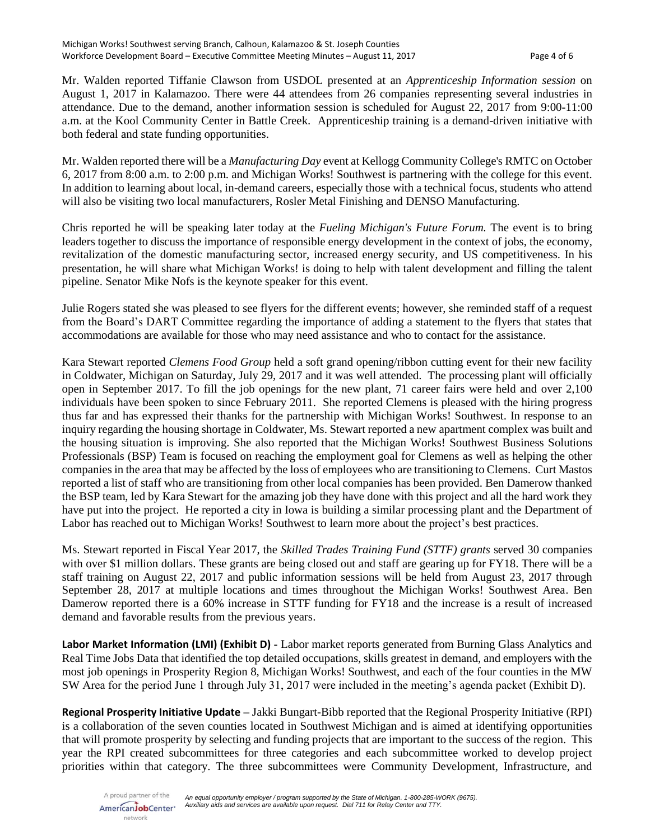Mr. Walden reported Tiffanie Clawson from USDOL presented at an *Apprenticeship Information session* on August 1, 2017 in Kalamazoo. There were 44 attendees from 26 companies representing several industries in attendance. Due to the demand, another information session is scheduled for August 22, 2017 from 9:00-11:00 a.m. at the Kool Community Center in Battle Creek. Apprenticeship training is a demand-driven initiative with both federal and state funding opportunities.

Mr. Walden reported there will be a *Manufacturing Day* event at Kellogg Community College's RMTC on October 6, 2017 from 8:00 a.m. to 2:00 p.m. and Michigan Works! Southwest is partnering with the college for this event. In addition to learning about local, in-demand careers, especially those with a technical focus, students who attend will also be visiting two local manufacturers, Rosler Metal Finishing and DENSO Manufacturing.

Chris reported he will be speaking later today at the *Fueling Michigan's Future Forum.* The event is to bring leaders together to discuss the importance of responsible energy development in the context of jobs, the economy, revitalization of the domestic manufacturing sector, increased energy security, and US competitiveness. In his presentation, he will share what Michigan Works! is doing to help with talent development and filling the talent pipeline. Senator Mike Nofs is the keynote speaker for this event.

Julie Rogers stated she was pleased to see flyers for the different events; however, she reminded staff of a request from the Board's DART Committee regarding the importance of adding a statement to the flyers that states that accommodations are available for those who may need assistance and who to contact for the assistance.

Kara Stewart reported *Clemens Food Group* held a soft grand opening/ribbon cutting event for their new facility in Coldwater, Michigan on Saturday, July 29, 2017 and it was well attended. The processing plant will officially open in September 2017. To fill the job openings for the new plant, 71 career fairs were held and over 2,100 individuals have been spoken to since February 2011. She reported Clemens is pleased with the hiring progress thus far and has expressed their thanks for the partnership with Michigan Works! Southwest. In response to an inquiry regarding the housing shortage in Coldwater, Ms. Stewart reported a new apartment complex was built and the housing situation is improving. She also reported that the Michigan Works! Southwest Business Solutions Professionals (BSP) Team is focused on reaching the employment goal for Clemens as well as helping the other companies in the area that may be affected by the loss of employees who are transitioning to Clemens. Curt Mastos reported a list of staff who are transitioning from other local companies has been provided. Ben Damerow thanked the BSP team, led by Kara Stewart for the amazing job they have done with this project and all the hard work they have put into the project. He reported a city in Iowa is building a similar processing plant and the Department of Labor has reached out to Michigan Works! Southwest to learn more about the project's best practices.

Ms. Stewart reported in Fiscal Year 2017, the *Skilled Trades Training Fund (STTF) grants* served 30 companies with over \$1 million dollars. These grants are being closed out and staff are gearing up for FY18. There will be a staff training on August 22, 2017 and public information sessions will be held from August 23, 2017 through September 28, 2017 at multiple locations and times throughout the Michigan Works! Southwest Area. Ben Damerow reported there is a 60% increase in STTF funding for FY18 and the increase is a result of increased demand and favorable results from the previous years.

**Labor Market Information (LMI) (Exhibit D)** - Labor market reports generated from Burning Glass Analytics and Real Time Jobs Data that identified the top detailed occupations, skills greatest in demand, and employers with the most job openings in Prosperity Region 8, Michigan Works! Southwest, and each of the four counties in the MW SW Area for the period June 1 through July 31, 2017 were included in the meeting's agenda packet (Exhibit D).

**Regional Prosperity Initiative Update –** Jakki Bungart-Bibb reported that the Regional Prosperity Initiative (RPI) is a collaboration of the seven counties located in Southwest Michigan and is aimed at identifying opportunities that will promote prosperity by selecting and funding projects that are important to the success of the region. This year the RPI created subcommittees for three categories and each subcommittee worked to develop project priorities within that category. The three subcommittees were Community Development, Infrastructure, and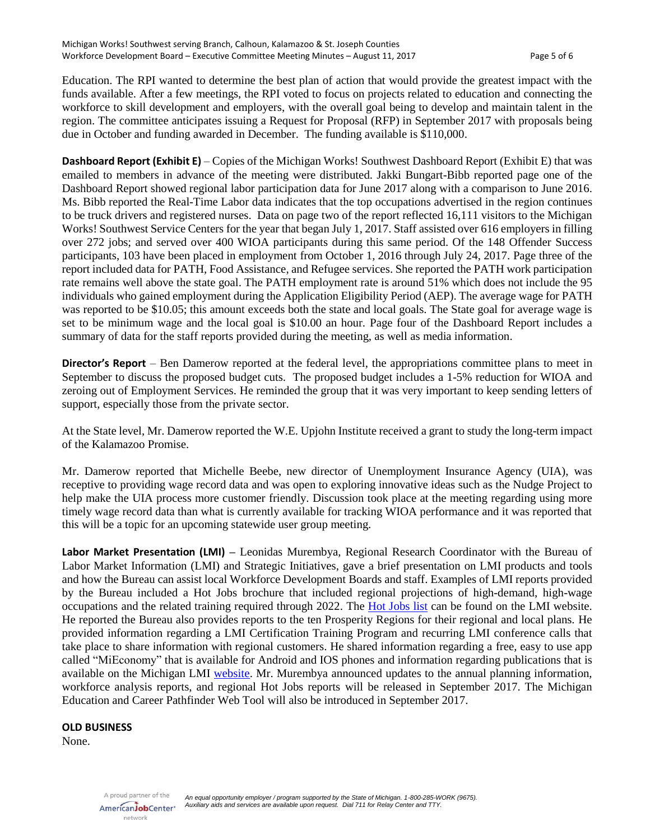Education. The RPI wanted to determine the best plan of action that would provide the greatest impact with the funds available. After a few meetings, the RPI voted to focus on projects related to education and connecting the workforce to skill development and employers, with the overall goal being to develop and maintain talent in the region. The committee anticipates issuing a Request for Proposal (RFP) in September 2017 with proposals being due in October and funding awarded in December. The funding available is \$110,000.

**Dashboard Report (Exhibit E)** – Copies of the Michigan Works! Southwest Dashboard Report (Exhibit E) that was emailed to members in advance of the meeting were distributed. Jakki Bungart-Bibb reported page one of the Dashboard Report showed regional labor participation data for June 2017 along with a comparison to June 2016. Ms. Bibb reported the Real-Time Labor data indicates that the top occupations advertised in the region continues to be truck drivers and registered nurses. Data on page two of the report reflected 16,111 visitors to the Michigan Works! Southwest Service Centers for the year that began July 1, 2017. Staff assisted over 616 employers in filling over 272 jobs; and served over 400 WIOA participants during this same period. Of the 148 Offender Success participants, 103 have been placed in employment from October 1, 2016 through July 24, 2017. Page three of the report included data for PATH, Food Assistance, and Refugee services. She reported the PATH work participation rate remains well above the state goal. The PATH employment rate is around 51% which does not include the 95 individuals who gained employment during the Application Eligibility Period (AEP). The average wage for PATH was reported to be \$10.05; this amount exceeds both the state and local goals. The State goal for average wage is set to be minimum wage and the local goal is \$10.00 an hour. Page four of the Dashboard Report includes a summary of data for the staff reports provided during the meeting, as well as media information.

**Director's Report** – Ben Damerow reported at the federal level, the appropriations committee plans to meet in September to discuss the proposed budget cuts. The proposed budget includes a 1-5% reduction for WIOA and zeroing out of Employment Services. He reminded the group that it was very important to keep sending letters of support, especially those from the private sector.

At the State level, Mr. Damerow reported the W.E. Upjohn Institute received a grant to study the long-term impact of the Kalamazoo Promise.

Mr. Damerow reported that Michelle Beebe, new director of Unemployment Insurance Agency (UIA), was receptive to providing wage record data and was open to exploring innovative ideas such as the Nudge Project to help make the UIA process more customer friendly. Discussion took place at the meeting regarding using more timely wage record data than what is currently available for tracking WIOA performance and it was reported that this will be a topic for an upcoming statewide user group meeting.

**Labor Market Presentation (LMI) –** Leonidas Murembya, Regional Research Coordinator with the Bureau of Labor Market Information (LMI) and Strategic Initiatives, gave a brief presentation on LMI products and tools and how the Bureau can assist local Workforce Development Boards and staff. Examples of LMI reports provided by the Bureau included a Hot Jobs brochure that included regional projections of high-demand, high-wage occupations and the related training required through 2022. The [Hot Jobs list](http://milmi.org/research/Regional-Hot-Jobs-for-2022) can be found on the LMI website. He reported the Bureau also provides reports to the ten Prosperity Regions for their regional and local plans. He provided information regarding a LMI Certification Training Program and recurring LMI conference calls that take place to share information with regional customers. He shared information regarding a free, easy to use app called "MiEconomy" that is available for Android and IOS phones and information regarding publications that is available on the Michigan LMI [website.](http://milmi.org/SearchResults.aspx?q=publications) Mr. Murembya announced updates to the annual planning information, workforce analysis reports, and regional Hot Jobs reports will be released in September 2017. The Michigan Education and Career Pathfinder Web Tool will also be introduced in September 2017.

### **OLD BUSINESS**

None.